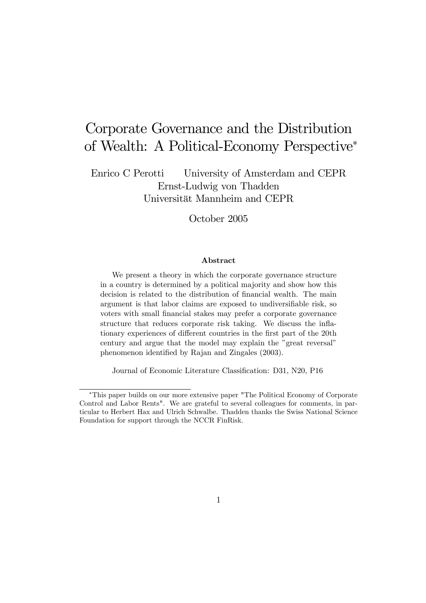# Corporate Governance and the Distribution of Wealth: A Political-Economy Perspective<sup>∗</sup>

Enrico C Perotti University of Amsterdam and CEPR Ernst-Ludwig von Thadden Universität Mannheim and CEPR

October 2005

#### Abstract

We present a theory in which the corporate governance structure in a country is determined by a political majority and show how this decision is related to the distribution of financial wealth. The main argument is that labor claims are exposed to undiversifiable risk, so voters with small financial stakes may prefer a corporate governance structure that reduces corporate risk taking. We discuss the inflationary experiences of different countries in the first part of the 20th century and argue that the model may explain the "great reversal" phenomenon identified by Rajan and Zingales (2003).

Journal of Economic Literature Classification: D31, N20, P16

<sup>∗</sup>This paper builds on our more extensive paper "The Political Economy of Corporate Control and Labor Rents". We are grateful to several colleagues for comments, in particular to Herbert Hax and Ulrich Schwalbe. Thadden thanks the Swiss National Science Foundation for support through the NCCR FinRisk.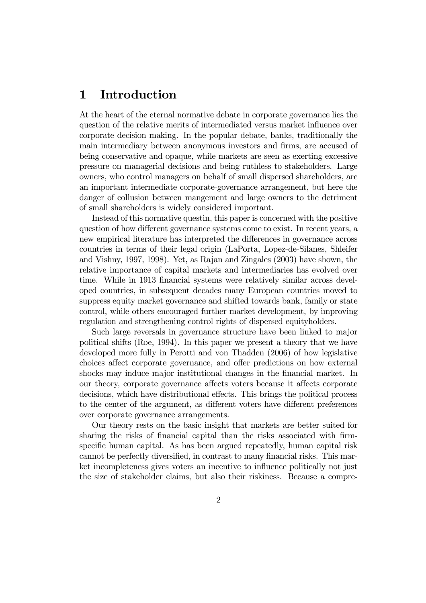# 1 Introduction

At the heart of the eternal normative debate in corporate governance lies the question of the relative merits of intermediated versus market influence over corporate decision making. In the popular debate, banks, traditionally the main intermediary between anonymous investors and firms, are accused of being conservative and opaque, while markets are seen as exerting excessive pressure on managerial decisions and being ruthless to stakeholders. Large owners, who control managers on behalf of small dispersed shareholders, are an important intermediate corporate-governance arrangement, but here the danger of collusion between mangement and large owners to the detriment of small shareholders is widely considered important.

Instead of this normative questin, this paper is concerned with the positive question of how different governance systems come to exist. In recent years, a new empirical literature has interpreted the differences in governance across countries in terms of their legal origin (LaPorta, Lopez-de-Silanes, Shleifer and Vishny, 1997, 1998). Yet, as Rajan and Zingales (2003) have shown, the relative importance of capital markets and intermediaries has evolved over time. While in 1913 financial systems were relatively similar across developed countries, in subsequent decades many European countries moved to suppress equity market governance and shifted towards bank, family or state control, while others encouraged further market development, by improving regulation and strengthening control rights of dispersed equityholders.

Such large reversals in governance structure have been linked to major political shifts (Roe, 1994). In this paper we present a theory that we have developed more fully in Perotti and von Thadden (2006) of how legislative choices affect corporate governance, and offer predictions on how external shocks may induce major institutional changes in the financial market. In our theory, corporate governance affects voters because it affects corporate decisions, which have distributional effects. This brings the political process to the center of the argument, as different voters have different preferences over corporate governance arrangements.

Our theory rests on the basic insight that markets are better suited for sharing the risks of financial capital than the risks associated with firmspecific human capital. As has been argued repeatedly, human capital risk cannot be perfectly diversified, in contrast to many financial risks. This market incompleteness gives voters an incentive to influence politically not just the size of stakeholder claims, but also their riskiness. Because a compre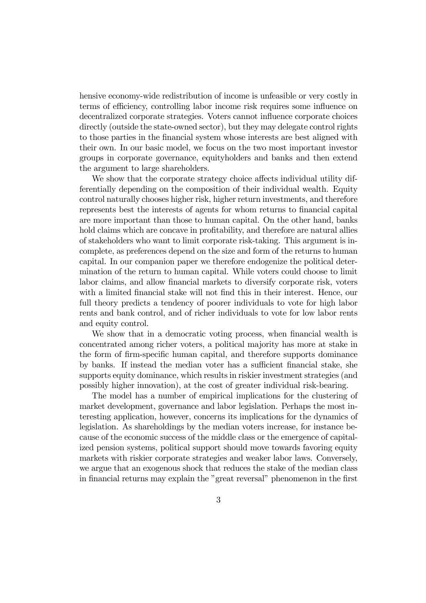hensive economy-wide redistribution of income is unfeasible or very costly in terms of efficiency, controlling labor income risk requires some influence on decentralized corporate strategies. Voters cannot influence corporate choices directly (outside the state-owned sector), but they may delegate control rights to those parties in the financial system whose interests are best aligned with their own. In our basic model, we focus on the two most important investor groups in corporate governance, equityholders and banks and then extend the argument to large shareholders.

We show that the corporate strategy choice affects individual utility differentially depending on the composition of their individual wealth. Equity control naturally chooses higher risk, higher return investments, and therefore represents best the interests of agents for whom returns to financial capital are more important than those to human capital. On the other hand, banks hold claims which are concave in profitability, and therefore are natural allies of stakeholders who want to limit corporate risk-taking. This argument is incomplete, as preferences depend on the size and form of the returns to human capital. In our companion paper we therefore endogenize the political determination of the return to human capital. While voters could choose to limit labor claims, and allow financial markets to diversify corporate risk, voters with a limited financial stake will not find this in their interest. Hence, our full theory predicts a tendency of poorer individuals to vote for high labor rents and bank control, and of richer individuals to vote for low labor rents and equity control.

We show that in a democratic voting process, when financial wealth is concentrated among richer voters, a political majority has more at stake in the form of firm-specific human capital, and therefore supports dominance by banks. If instead the median voter has a sufficient financial stake, she supports equity dominance, which results in riskier investment strategies (and possibly higher innovation), at the cost of greater individual risk-bearing.

The model has a number of empirical implications for the clustering of market development, governance and labor legislation. Perhaps the most interesting application, however, concerns its implications for the dynamics of legislation. As shareholdings by the median voters increase, for instance because of the economic success of the middle class or the emergence of capitalized pension systems, political support should move towards favoring equity markets with riskier corporate strategies and weaker labor laws. Conversely, we argue that an exogenous shock that reduces the stake of the median class in financial returns may explain the "great reversal" phenomenon in the first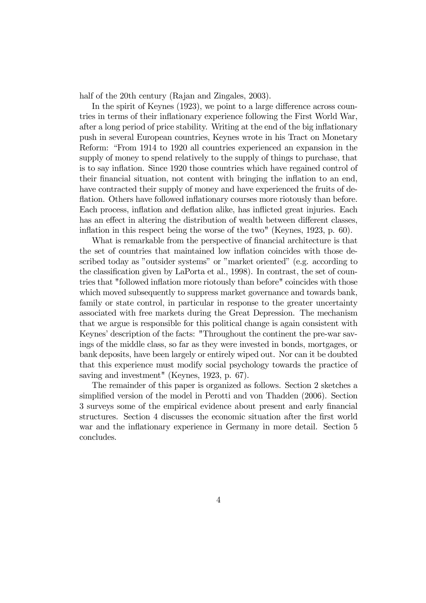half of the 20th century (Rajan and Zingales, 2003).

In the spirit of Keynes (1923), we point to a large difference across countries in terms of their inflationary experience following the First World War, after a long period of price stability. Writing at the end of the big inflationary push in several European countries, Keynes wrote in his Tract on Monetary Reform: "From 1914 to 1920 all countries experienced an expansion in the supply of money to spend relatively to the supply of things to purchase, that is to say inflation. Since 1920 those countries which have regained control of their financial situation, not content with bringing the inflation to an end, have contracted their supply of money and have experienced the fruits of deflation. Others have followed inflationary courses more riotously than before. Each process, inflation and deflation alike, has inflicted great injuries. Each has an effect in altering the distribution of wealth between different classes, inflation in this respect being the worse of the two" (Keynes, 1923, p. 60).

What is remarkable from the perspective of financial architecture is that the set of countries that maintained low inflation coincides with those described today as "outsider systems" or "market oriented" (e.g. according to the classification given by LaPorta et al., 1998). In contrast, the set of countries that "followed inflation more riotously than before" coincides with those which moved subsequently to suppress market governance and towards bank, family or state control, in particular in response to the greater uncertainty associated with free markets during the Great Depression. The mechanism that we argue is responsible for this political change is again consistent with Keynes' description of the facts: "Throughout the continent the pre-war savings of the middle class, so far as they were invested in bonds, mortgages, or bank deposits, have been largely or entirely wiped out. Nor can it be doubted that this experience must modify social psychology towards the practice of saving and investment" (Keynes, 1923, p. 67).

The remainder of this paper is organized as follows. Section 2 sketches a simplified version of the model in Perotti and von Thadden (2006). Section 3 surveys some of the empirical evidence about present and early financial structures. Section 4 discusses the economic situation after the first world war and the inflationary experience in Germany in more detail. Section 5 concludes.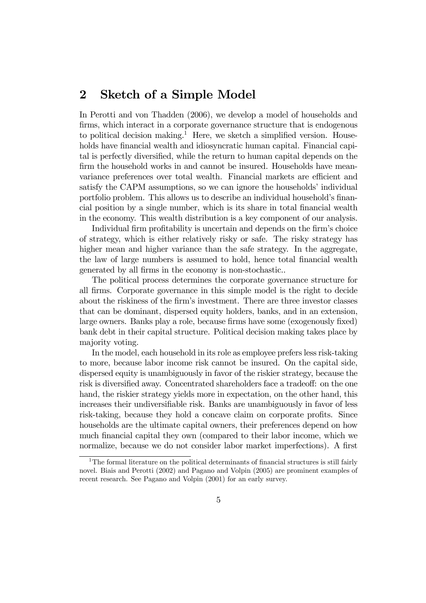## 2 Sketch of a Simple Model

In Perotti and von Thadden (2006), we develop a model of households and firms, which interact in a corporate governance structure that is endogenous to political decision making.<sup>1</sup> Here, we sketch a simplified version. Households have financial wealth and idiosyncratic human capital. Financial capital is perfectly diversified, while the return to human capital depends on the firm the household works in and cannot be insured. Households have meanvariance preferences over total wealth. Financial markets are efficient and satisfy the CAPM assumptions, so we can ignore the households' individual portfolio problem. This allows us to describe an individual household's financial position by a single number, which is its share in total financial wealth in the economy. This wealth distribution is a key component of our analysis.

Individual firm profitability is uncertain and depends on the firm's choice of strategy, which is either relatively risky or safe. The risky strategy has higher mean and higher variance than the safe strategy. In the aggregate, the law of large numbers is assumed to hold, hence total financial wealth generated by all firms in the economy is non-stochastic..

The political process determines the corporate governance structure for all firms. Corporate governance in this simple model is the right to decide about the riskiness of the firm's investment. There are three investor classes that can be dominant, dispersed equity holders, banks, and in an extension, large owners. Banks play a role, because firms have some (exogenously fixed) bank debt in their capital structure. Political decision making takes place by majority voting.

In the model, each household in its role as employee prefers less risk-taking to more, because labor income risk cannot be insured. On the capital side, dispersed equity is unambiguously in favor of the riskier strategy, because the risk is diversified away. Concentrated shareholders face a tradeoff: on the one hand, the riskier strategy yields more in expectation, on the other hand, this increases their undiversifiable risk. Banks are unambiguously in favor of less risk-taking, because they hold a concave claim on corporate profits. Since households are the ultimate capital owners, their preferences depend on how much financial capital they own (compared to their labor income, which we normalize, because we do not consider labor market imperfections). A first

<sup>&</sup>lt;sup>1</sup>The formal literature on the political determinants of financial structures is still fairly novel. Biais and Perotti (2002) and Pagano and Volpin (2005) are prominent examples of recent research. See Pagano and Volpin (2001) for an early survey.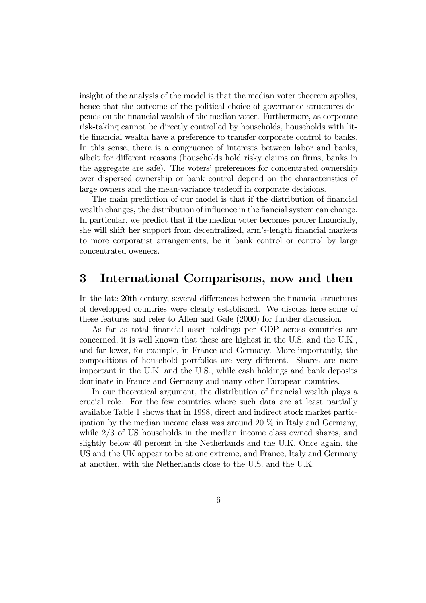insight of the analysis of the model is that the median voter theorem applies, hence that the outcome of the political choice of governance structures depends on the financial wealth of the median voter. Furthermore, as corporate risk-taking cannot be directly controlled by households, households with little financial wealth have a preference to transfer corporate control to banks. In this sense, there is a congruence of interests between labor and banks, albeit for different reasons (households hold risky claims on firms, banks in the aggregate are safe). The voters' preferences for concentrated ownership over dispersed ownership or bank control depend on the characteristics of large owners and the mean-variance tradeoff in corporate decisions.

The main prediction of our model is that if the distribution of financial wealth changes, the distribution of influence in the fiancial system can change. In particular, we predict that if the median voter becomes poorer financially, she will shift her support from decentralized, arm's-length financial markets to more corporatist arrangements, be it bank control or control by large concentrated oweners.

#### 3 International Comparisons, now and then

In the late 20th century, several differences between the financial structures of developped countries were clearly established. We discuss here some of these features and refer to Allen and Gale (2000) for further discussion.

As far as total financial asset holdings per GDP across countries are concerned, it is well known that these are highest in the U.S. and the U.K., and far lower, for example, in France and Germany. More importantly, the compositions of household portfolios are very different. Shares are more important in the U.K. and the U.S., while cash holdings and bank deposits dominate in France and Germany and many other European countries.

In our theoretical argument, the distribution of financial wealth plays a crucial role. For the few countries where such data are at least partially available Table 1 shows that in 1998, direct and indirect stock market participation by the median income class was around 20 % in Italy and Germany, while 2/3 of US households in the median income class owned shares, and slightly below 40 percent in the Netherlands and the U.K. Once again, the US and the UK appear to be at one extreme, and France, Italy and Germany at another, with the Netherlands close to the U.S. and the U.K.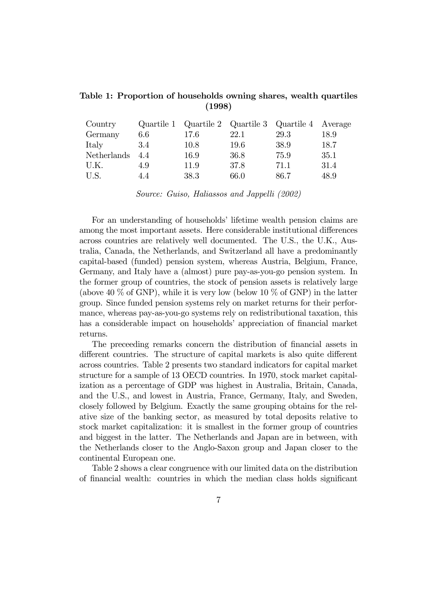| Table 1: Proportion of households owning shares, wealth quartiles |        |  |  |
|-------------------------------------------------------------------|--------|--|--|
|                                                                   | (1998) |  |  |
|                                                                   |        |  |  |

| Country     |     |      |      | Quartile 1 Quartile 2 Quartile 3 Quartile 4 Average |          |
|-------------|-----|------|------|-----------------------------------------------------|----------|
| Germany     | 6.6 | 17.6 | 22.1 | 29.3                                                | $18.9\,$ |
| Italy       | 3.4 | 10.8 | 19.6 | 38.9                                                | 18.7     |
| Netherlands | 44  | 16.9 | 36.8 | 75.9                                                | 35.1     |
| U.K.        | 4.9 | 11.9 | 37.8 | 71.1                                                | 31.4     |
| U.S.        | 4.4 | 38.3 | 66.0 | 86.7                                                | 48.9     |

Source: Guiso, Haliassos and Jappelli (2002)

For an understanding of households' lifetime wealth pension claims are among the most important assets. Here considerable institutional differences across countries are relatively well documented. The U.S., the U.K., Australia, Canada, the Netherlands, and Switzerland all have a predominantly capital-based (funded) pension system, whereas Austria, Belgium, France, Germany, and Italy have a (almost) pure pay-as-you-go pension system. In the former group of countries, the stock of pension assets is relatively large (above 40  $\%$  of GNP), while it is very low (below 10  $\%$  of GNP) in the latter group. Since funded pension systems rely on market returns for their performance, whereas pay-as-you-go systems rely on redistributional taxation, this has a considerable impact on households' appreciation of financial market returns.

The preceeding remarks concern the distribution of financial assets in different countries. The structure of capital markets is also quite different across countries. Table 2 presents two standard indicators for capital market structure for a sample of 13 OECD countries. In 1970, stock market capitalization as a percentage of GDP was highest in Australia, Britain, Canada, and the U.S., and lowest in Austria, France, Germany, Italy, and Sweden, closely followed by Belgium. Exactly the same grouping obtains for the relative size of the banking sector, as measured by total deposits relative to stock market capitalization: it is smallest in the former group of countries and biggest in the latter. The Netherlands and Japan are in between, with the Netherlands closer to the Anglo-Saxon group and Japan closer to the continental European one.

Table 2 shows a clear congruence with our limited data on the distribution of financial wealth: countries in which the median class holds significant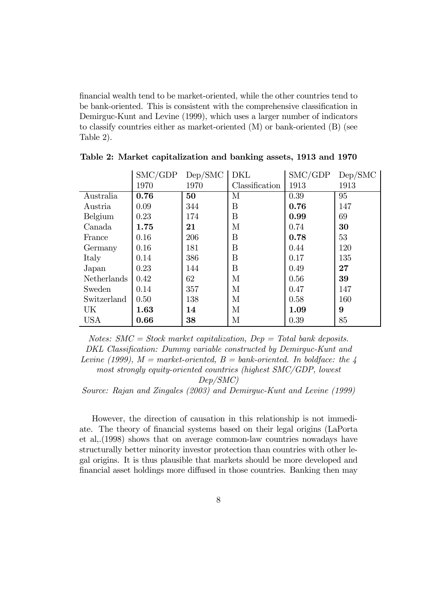financial wealth tend to be market-oriented, while the other countries tend to be bank-oriented. This is consistent with the comprehensive classification in Demirguc-Kunt and Levine (1999), which uses a larger number of indicators to classify countries either as market-oriented (M) or bank-oriented (B) (see Table 2).

|                    | SMC/GDP | Dep/SMC | DKL              | SMC/GDP | Dep/SMC |
|--------------------|---------|---------|------------------|---------|---------|
|                    | 1970    | 1970    | Classification   | 1913    | 1913    |
| Australia          | 0.76    | 50      | М                | 0.39    | 95      |
| Austria            | 0.09    | 344     | B                | 0.76    | 147     |
| Belgium            | 0.23    | 174     | $\boldsymbol{B}$ | 0.99    | 69      |
| Canada             | 1.75    | 21      | М                | 0.74    | 30      |
| France             | 0.16    | 206     | B                | 0.78    | 53      |
| Germany            | 0.16    | 181     | B                | 0.44    | 120     |
| Italy              | 0.14    | 386     | B                | 0.17    | 135     |
| Japan              | 0.23    | 144     | B                | 0.49    | 27      |
| <b>Netherlands</b> | 0.42    | 62      | М                | 0.56    | 39      |
| Sweden             | 0.14    | 357     | М                | 0.47    | 147     |
| Switzerland        | 0.50    | 138     | М                | 0.58    | 160     |
| UK                 | 1.63    | 14      | М                | 1.09    | 9       |
| <b>USA</b>         | 0.66    | 38      | М                | 0.39    | 85      |

Table 2: Market capitalization and banking assets, 1913 and 1970

Notes:  $SMC = Stock$  market capitalization,  $Dep = Total$  bank deposits. DKL Classification: Dummy variable constructed by Demirguc-Kunt and Levine (1999),  $M =$  market-oriented,  $B =$  bank-oriented. In boldface: the 4 most strongly equity-oriented countries (highest SMC/GDP, lowest

Dep/SMC)

Source: Rajan and Zingales (2003) and Demirguc-Kunt and Levine (1999)

However, the direction of causation in this relationship is not immediate. The theory of financial systems based on their legal origins (LaPorta et al,.(1998) shows that on average common-law countries nowadays have structurally better minority investor protection than countries with other legal origins. It is thus plausible that markets should be more developed and financial asset holdings more diffused in those countries. Banking then may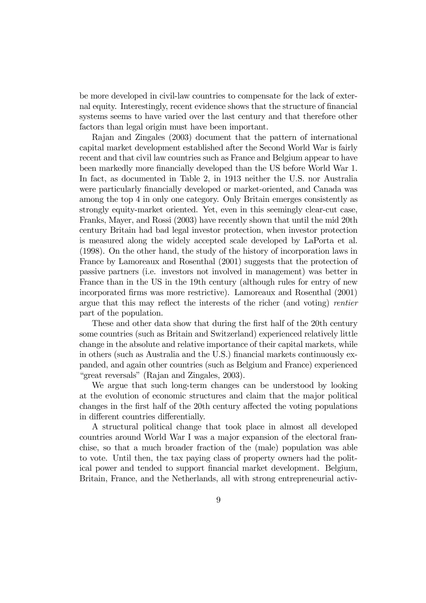be more developed in civil-law countries to compensate for the lack of external equity. Interestingly, recent evidence shows that the structure of financial systems seems to have varied over the last century and that therefore other factors than legal origin must have been important.

Rajan and Zingales (2003) document that the pattern of international capital market development established after the Second World War is fairly recent and that civil law countries such as France and Belgium appear to have been markedly more financially developed than the US before World War 1. In fact, as documented in Table 2, in 1913 neither the U.S. nor Australia were particularly financially developed or market-oriented, and Canada was among the top 4 in only one category. Only Britain emerges consistently as strongly equity-market oriented. Yet, even in this seemingly clear-cut case, Franks, Mayer, and Rossi (2003) have recently shown that until the mid 20th century Britain had bad legal investor protection, when investor protection is measured along the widely accepted scale developed by LaPorta et al. (1998). On the other hand, the study of the history of incorporation laws in France by Lamoreaux and Rosenthal (2001) suggests that the protection of passive partners (i.e. investors not involved in management) was better in France than in the US in the 19th century (although rules for entry of new incorporated firms was more restrictive). Lamoreaux and Rosenthal (2001) argue that this may reflect the interests of the richer (and voting) rentier part of the population.

These and other data show that during the first half of the 20th century some countries (such as Britain and Switzerland) experienced relatively little change in the absolute and relative importance of their capital markets, while in others (such as Australia and the U.S.) financial markets continuously expanded, and again other countries (such as Belgium and France) experienced "great reversals" (Rajan and Zingales, 2003).

We argue that such long-term changes can be understood by looking at the evolution of economic structures and claim that the major political changes in the first half of the 20th century affected the voting populations in different countries differentially.

A structural political change that took place in almost all developed countries around World War I was a major expansion of the electoral franchise, so that a much broader fraction of the (male) population was able to vote. Until then, the tax paying class of property owners had the political power and tended to support financial market development. Belgium, Britain, France, and the Netherlands, all with strong entrepreneurial activ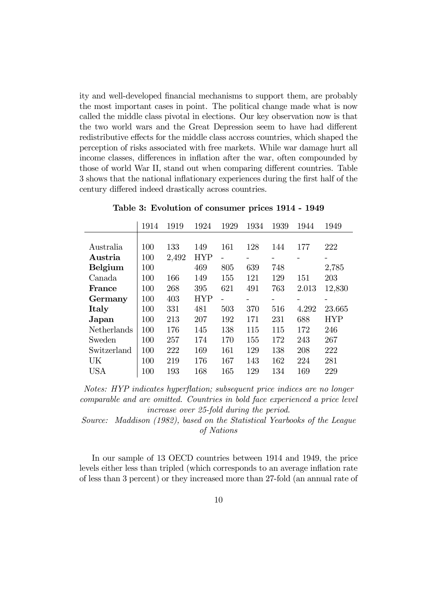ity and well-developed financial mechanisms to support them, are probably the most important cases in point. The political change made what is now called the middle class pivotal in elections. Our key observation now is that the two world wars and the Great Depression seem to have had different redistributive effects for the middle class accross countries, which shaped the perception of risks associated with free markets. While war damage hurt all income classes, differences in inflation after the war, often compounded by those of world War II, stand out when comparing different countries. Table 3 shows that the national inflationary experiences during the first half of the century differed indeed drastically across countries.

|                | 1914 | 1919  | 1924       | 1929 | 1934 | 1939 | 1944  | 1949       |
|----------------|------|-------|------------|------|------|------|-------|------------|
|                |      |       |            |      |      |      |       |            |
| Australia      | 100  | 133   | 149        | 161  | 128  | 144  | 177   | 222        |
| Austria        | 100  | 2,492 | <b>HYP</b> |      |      |      |       | -          |
| <b>Belgium</b> | 100  |       | 469        | 805  | 639  | 748  |       | 2,785      |
| Canada         | 100  | 166   | 149        | 155  | 121  | 129  | 151   | 203        |
| <b>France</b>  | 100  | 268   | 395        | 621  | 491  | 763  | 2.013 | 12,830     |
| Germany        | 100  | 403   | <b>HYP</b> |      |      |      |       |            |
| Italy          | 100  | 331   | 481        | 503  | 370  | 516  | 4.292 | 23.665     |
| Japan          | 100  | 213   | 207        | 192  | 171  | 231  | 688   | <b>HYP</b> |
| Netherlands    | 100  | 176   | 145        | 138  | 115  | 115  | 172   | 246        |
| Sweden         | 100  | 257   | 174        | 170  | 155  | 172  | 243   | 267        |
| Switzerland    | 100  | 222   | 169        | 161  | 129  | 138  | 208   | 222        |
| UK             | 100  | 219   | 176        | 167  | 143  | 162  | 224   | 281        |
| USA            | 100  | 193   | 168        | 165  | 129  | 134  | 169   | 229        |

Table 3: Evolution of consumer prices 1914 - 1949

Notes: HYP indicates hyperflation; subsequent price indices are no longer comparable and are omitted. Countries in bold face experienced a price level increase over 25-fold during the period.

Source: Maddison (1982), based on the Statistical Yearbooks of the League of Nations

In our sample of 13 OECD countries between 1914 and 1949, the price levels either less than tripled (which corresponds to an average inflation rate of less than 3 percent) or they increased more than 27-fold (an annual rate of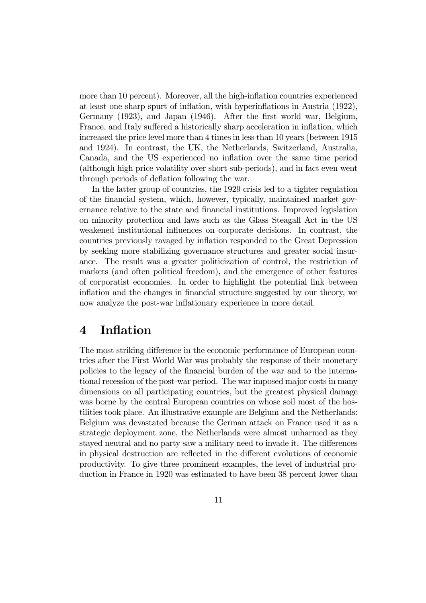more than 10 percent). Moreover, all the high-inflation countries experienced at least one sharp spurt of inflation, with hyperinflations in Austria (1922), Germany (1923), and Japan (1946). After the first world war, Belgium, France, and Italy suffered a historically sharp acceleration in inflation, which increased the price level more than 4 times in less than 10 years (between 1915 and 1924). In contrast, the UK, the Netherlands, Switzerland, Australia, Canada, and the US experienced no inflation over the same time period (although high price volatility over short sub-periods), and in fact even went through periods of deflation following the war.

In the latter group of countries, the 1929 crisis led to a tighter regulation of the financial system, which, however, typically, maintained market governance relative to the state and financial institutions. Improved legislation on minority protection and laws such as the Glass Steagall Act in the US weakened institutional influences on corporate decisions. In contrast, the countries previously ravaged by inflation responded to the Great Depression by seeking more stabilizing governance structures and greater social insurance. The result was a greater politicization of control, the restriction of markets (and often political freedom), and the emergence of other features of corporatist economies. In order to highlight the potential link between inflation and the changes in financial structure suggested by our theory, we now analyze the post-war inflationary experience in more detail.

### 4 Inflation

The most striking difference in the economic performance of European countries after the First World War was probably the response of their monetary policies to the legacy of the financial burden of the war and to the international recession of the post-war period. The war imposed major costs in many dimensions on all participating countries, but the greatest physical damage was borne by the central European countries on whose soil most of the hostilities took place. An illustrative example are Belgium and the Netherlands: Belgium was devastated because the German attack on France used it as a strategic deployment zone, the Netherlands were almost unharmed as they stayed neutral and no party saw a military need to invade it. The differences in physical destruction are reflected in the different evolutions of economic productivity. To give three prominent examples, the level of industrial production in France in 1920 was estimated to have been 38 percent lower than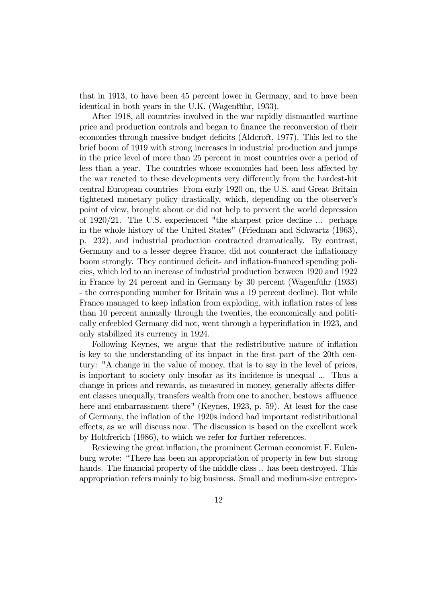that in 1913, to have been 45 percent lower in Germany, and to have been identical in both years in the U.K. (Wagenführ, 1933).

After 1918, all countries involved in the war rapidly dismantled wartime price and production controls and began to finance the reconversion of their economies through massive budget deficits (Aldcroft, 1977). This led to the brief boom of 1919 with strong increases in industrial production and jumps in the price level of more than 25 percent in most countries over a period of less than a year. The countries whose economies had been less affected by the war reacted to these developments very differently from the hardest-hit central European countries From early 1920 on, the U.S. and Great Britain tightened monetary policy drastically, which, depending on the observer's point of view, brought about or did not help to prevent the world depression of 1920/21. The U.S. experienced "the sharpest price decline ... perhaps in the whole history of the United States" (Friedman and Schwartz (1963), p. 232), and industrial production contracted dramatically. By contrast, Germany and to a lesser degree France, did not counteract the inflationary boom strongly. They continued deficit- and inflation-financed spending policies, which led to an increase of industrial production between 1920 and 1922 in France by 24 percent and in Germany by 30 percent (Wagenführ (1933) - the corresponding number for Britain was a 19 percent decline). But while France managed to keep inflation from exploding, with inflation rates of less than 10 percent annually through the twenties, the economically and politically enfeebled Germany did not, went through a hyperinflation in 1923, and only stabilized its currency in 1924.

Following Keynes, we argue that the redistributive nature of inflation is key to the understanding of its impact in the first part of the 20th century: "A change in the value of money, that is to say in the level of prices, is important to society only insofar as its incidence is unequal ... Thus a change in prices and rewards, as measured in money, generally affects different classes unequally, transfers wealth from one to another, bestows affluence here and embarrassment there" (Keynes, 1923, p. 59). At least for the case of Germany, the inflation of the 1920s indeed had important redistributional effects, as we will discuss now. The discussion is based on the excellent work by Holtfrerich (1986), to which we refer for further references.

Reviewing the great inflation, the prominent German economist F. Eulenburg wrote: "There has been an appropriation of property in few but strong hands. The financial property of the middle class  $\ldots$  has been destroyed. This appropriation refers mainly to big business. Small and medium-size entrepre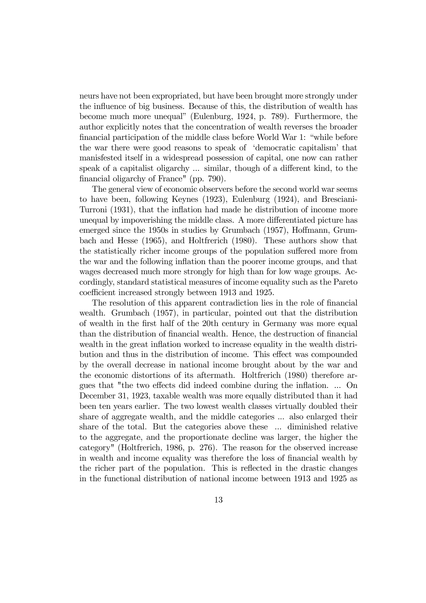neurs have not been expropriated, but have been brought more strongly under the influence of big business. Because of this, the distribution of wealth has become much more unequal" (Eulenburg, 1924, p. 789). Furthermore, the author explicitly notes that the concentration of wealth reverses the broader financial participation of the middle class before World War 1: "while before the war there were good reasons to speak of 'democratic capitalism' that manisfested itself in a widespread possession of capital, one now can rather speak of a capitalist oligarchy ... similar, though of a different kind, to the financial oligarchy of France" (pp. 790).

The general view of economic observers before the second world war seems to have been, following Keynes (1923), Eulenburg (1924), and Bresciani-Turroni (1931), that the inflation had made he distribution of income more unequal by impoverishing the middle class. A more differentiated picture has emerged since the 1950s in studies by Grumbach (1957), Hoffmann, Grumbach and Hesse (1965), and Holtfrerich (1980). These authors show that the statistically richer income groups of the population suffered more from the war and the following inflation than the poorer income groups, and that wages decreased much more strongly for high than for low wage groups. Accordingly, standard statistical measures of income equality such as the Pareto coefficient increased strongly between 1913 and 1925.

The resolution of this apparent contradiction lies in the role of financial wealth. Grumbach (1957), in particular, pointed out that the distribution of wealth in the first half of the 20th century in Germany was more equal than the distribution of financial wealth. Hence, the destruction of financial wealth in the great inflation worked to increase equality in the wealth distribution and thus in the distribution of income. This effect was compounded by the overall decrease in national income brought about by the war and the economic distortions of its aftermath. Holtfrerich (1980) therefore argues that "the two effects did indeed combine during the inflation. ... On December 31, 1923, taxable wealth was more equally distributed than it had been ten years earlier. The two lowest wealth classes virtually doubled their share of aggregate wealth, and the middle categories ... also enlarged their share of the total. But the categories above these ... diminished relative to the aggregate, and the proportionate decline was larger, the higher the category" (Holtfrerich, 1986, p. 276). The reason for the observed increase in wealth and income equality was therefore the loss of financial wealth by the richer part of the population. This is reflected in the drastic changes in the functional distribution of national income between 1913 and 1925 as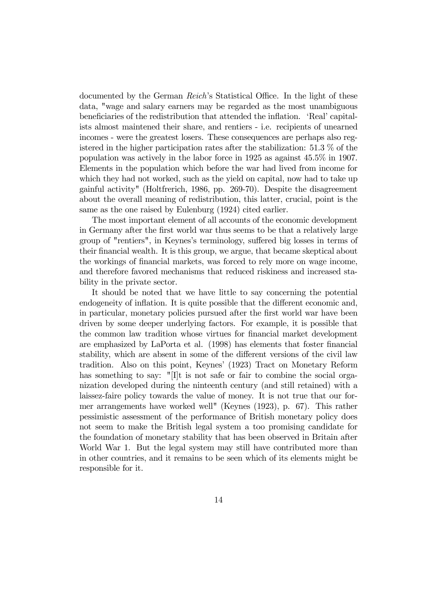documented by the German Reich's Statistical Office. In the light of these data, "wage and salary earners may be regarded as the most unambiguous beneficiaries of the redistribution that attended the inflation. 'Real' capitalists almost maintened their share, and rentiers - i.e. recipients of unearned incomes - were the greatest losers. These consequences are perhaps also registered in the higher participation rates after the stabilization: 51.3 % of the population was actively in the labor force in 1925 as against 45.5% in 1907. Elements in the population which before the war had lived from income for which they had not worked, such as the yield on capital, now had to take up gainful activity" (Holtfrerich, 1986, pp. 269-70). Despite the disagreement about the overall meaning of redistribution, this latter, crucial, point is the same as the one raised by Eulenburg (1924) cited earlier.

The most important element of all accounts of the economic development in Germany after the first world war thus seems to be that a relatively large group of "rentiers", in Keynes's terminology, suffered big losses in terms of their financial wealth. It is this group, we argue, that became skeptical about the workings of financial markets, was forced to rely more on wage income, and therefore favored mechanisms that reduced riskiness and increased stability in the private sector.

It should be noted that we have little to say concerning the potential endogeneity of inflation. It is quite possible that the different economic and, in particular, monetary policies pursued after the first world war have been driven by some deeper underlying factors. For example, it is possible that the common law tradition whose virtues for financial market development are emphasized by LaPorta et al. (1998) has elements that foster financial stability, which are absent in some of the different versions of the civil law tradition. Also on this point, Keynes' (1923) Tract on Monetary Reform has something to say: "[I]t is not safe or fair to combine the social organization developed during the ninteenth century (and still retained) with a laissez-faire policy towards the value of money. It is not true that our former arrangements have worked well" (Keynes (1923), p. 67). This rather pessimistic assessment of the performance of British monetary policy does not seem to make the British legal system a too promising candidate for the foundation of monetary stability that has been observed in Britain after World War 1. But the legal system may still have contributed more than in other countries, and it remains to be seen which of its elements might be responsible for it.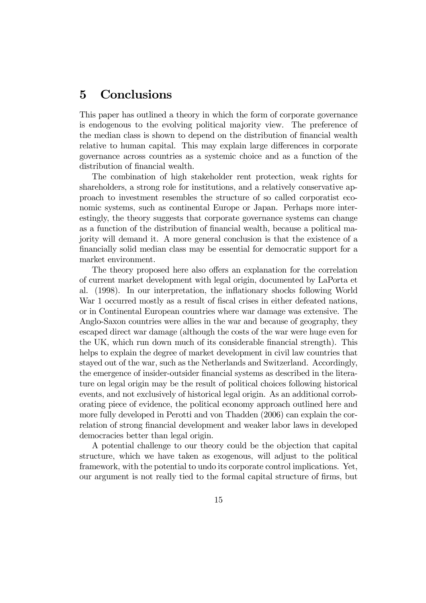# 5 Conclusions

This paper has outlined a theory in which the form of corporate governance is endogenous to the evolving political majority view. The preference of the median class is shown to depend on the distribution of financial wealth relative to human capital. This may explain large differences in corporate governance across countries as a systemic choice and as a function of the distribution of financial wealth.

The combination of high stakeholder rent protection, weak rights for shareholders, a strong role for institutions, and a relatively conservative approach to investment resembles the structure of so called corporatist economic systems, such as continental Europe or Japan. Perhaps more interestingly, the theory suggests that corporate governance systems can change as a function of the distribution of financial wealth, because a political majority will demand it. A more general conclusion is that the existence of a financially solid median class may be essential for democratic support for a market environment.

The theory proposed here also offers an explanation for the correlation of current market development with legal origin, documented by LaPorta et al. (1998). In our interpretation, the inflationary shocks following World War 1 occurred mostly as a result of fiscal crises in either defeated nations, or in Continental European countries where war damage was extensive. The Anglo-Saxon countries were allies in the war and because of geography, they escaped direct war damage (although the costs of the war were huge even for the UK, which run down much of its considerable financial strength). This helps to explain the degree of market development in civil law countries that stayed out of the war, such as the Netherlands and Switzerland. Accordingly, the emergence of insider-outsider financial systems as described in the literature on legal origin may be the result of political choices following historical events, and not exclusively of historical legal origin. As an additional corroborating piece of evidence, the political economy approach outlined here and more fully developed in Perotti and von Thadden (2006) can explain the correlation of strong financial development and weaker labor laws in developed democracies better than legal origin.

A potential challenge to our theory could be the objection that capital structure, which we have taken as exogenous, will adjust to the political framework, with the potential to undo its corporate control implications. Yet, our argument is not really tied to the formal capital structure of firms, but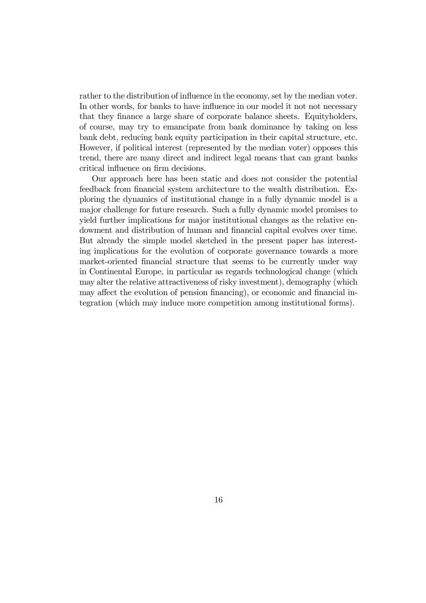rather to the distribution of influence in the economy, set by the median voter. In other words, for banks to have influence in our model it not not necessary that they finance a large share of corporate balance sheets. Equityholders, of course, may try to emancipate from bank dominance by taking on less bank debt, reducing bank equity participation in their capital structure, etc. However, if political interest (represented by the median voter) opposes this trend, there are many direct and indirect legal means that can grant banks critical influence on firm decisions.

Our approach here has been static and does not consider the potential feedback from financial system architecture to the wealth distribution. Exploring the dynamics of institutional change in a fully dynamic model is a major challenge for future research. Such a fully dynamic model promises to yield further implications for major institutional changes as the relative endowment and distribution of human and financial capital evolves over time. But already the simple model sketched in the present paper has interesting implications for the evolution of corporate governance towards a more market-oriented financial structure that seems to be currently under way in Continental Europe, in particular as regards technological change (which may alter the relative attractiveness of risky investment), demography (which may affect the evolution of pension financing), or economic and financial integration (which may induce more competition among institutional forms).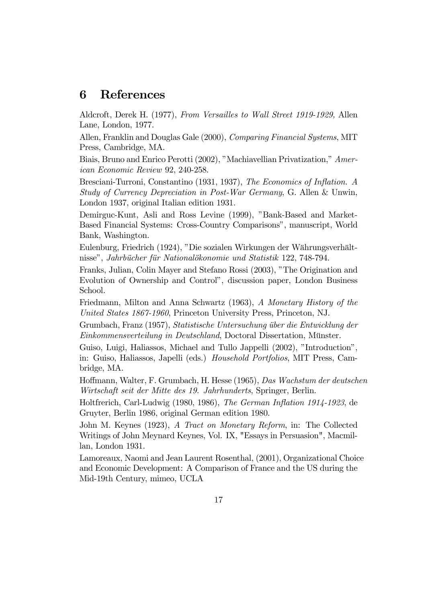#### 6 References

Aldcroft, Derek H. (1977), From Versailles to Wall Street 1919-1929, Allen Lane, London, 1977.

Allen, Franklin and Douglas Gale (2000), Comparing Financial Systems, MIT Press, Cambridge, MA.

Biais, Bruno and Enrico Perotti (2002), "Machiavellian Privatization," American Economic Review 92, 240-258.

Bresciani-Turroni, Constantino (1931, 1937), The Economics of Inflation. A Study of Currency Depreciation in Post-War Germany, G. Allen & Unwin, London 1937, original Italian edition 1931.

Demirguc-Kunt, Asli and Ross Levine (1999), "Bank-Based and Market-Based Financial Systems: Cross-Country Comparisons", manuscript, World Bank, Washington.

Eulenburg, Friedrich (1924), "Die sozialen Wirkungen der Währungsverhältnisse", Jahrbücher für Nationalökonomie und Statistik 122, 748-794.

Franks, Julian, Colin Mayer and Stefano Rossi (2003), "The Origination and Evolution of Ownership and Control", discussion paper, London Business School.

Friedmann, Milton and Anna Schwartz (1963), A Monetary History of the United States 1867-1960, Princeton University Press, Princeton, NJ.

Grumbach, Franz (1957), Statistische Untersuchung über die Entwicklung der Einkommensverteilung in Deutschland, Doctoral Dissertation, Münster.

Guiso, Luigi, Haliassos, Michael and Tullo Jappelli (2002), "Introduction", in: Guiso, Haliassos, Japelli (eds.) Household Portfolios, MIT Press, Cambridge, MA.

Hoffmann, Walter, F. Grumbach, H. Hesse (1965), Das Wachstum der deutschen Wirtschaft seit der Mitte des 19. Jahrhunderts, Springer, Berlin.

Holtfrerich, Carl-Ludwig (1980, 1986), The German Inflation 1914-1923, de Gruyter, Berlin 1986, original German edition 1980.

John M. Keynes (1923), A Tract on Monetary Reform, in: The Collected Writings of John Meynard Keynes, Vol. IX, "Essays in Persuasion", Macmillan, London 1931.

Lamoreaux, Naomi and Jean Laurent Rosenthal, (2001), Organizational Choice and Economic Development: A Comparison of France and the US during the Mid-19th Century, mimeo, UCLA